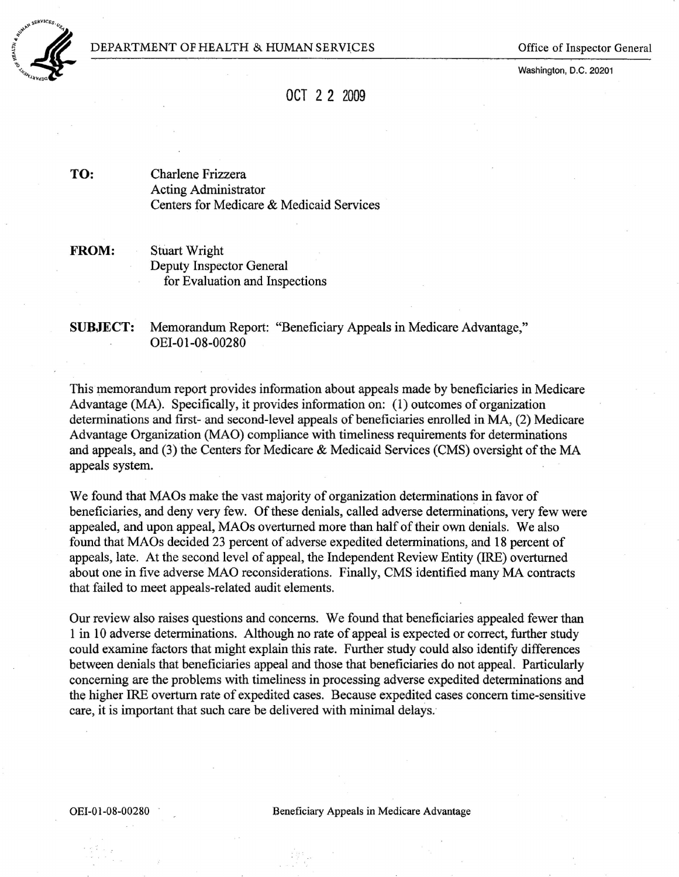

Washington, D.C. 20201

# OCT 2 2 2009

TO: Charlene Frizzera Acting Administrator Centers for Medicare & Medicaid Services

FROM: Stuart Wright Deputy Inspector General for Evaluation and Inspections

SUBJECT: Memorandum Report: "Beneficiary Appeals in Medicare Advantage," OEI-OI-08-00280

This memorandum report provides information about appeals made by beneficiaries in Medicare Advantage (MA). Specifically, it provides information on: (1) outcomes of organization determinations and first-and second-level appeals of beneficiaries enrolled in MA, (2) Medicare Advantage Organization (MAO) compliance with timeliness requirements for determinations and appeals, and (3) the Centers for Medicare & Medicaid Services (CMS) oversight of the MA appeals system.

We found that MAOs make the vast majority of organization determinations in favor of beneficiaries, and deny very few. Of these denials, called adverse determinations, very few were appealed, and upon appeal, MAOs overturned more than half of their own denials. We also found thatMAOs decided 23 percent of adverse expedited determinations, and 18 percent of appeals, late. At the second level of appeal, the Independent Review Entity (IRE) overturned about one in five adverse MAO reconsiderations. Finally, CMS'identified many MA contracts that failed to meet appeals-related audit elements.

Our review also raises questions and concerns. We found that beneficiaries appealed fewer than 1 in 10 adverse determinations. Although no rate of appeal is expected or correct, further study could examine factors that might explain this rate. Further study could also identify differences between denials that beneficiaries appeal and those that beneficiaries do not appeal. Particularly concerning are the problems with timeliness in processing adverse expedited determinations and the higher IRE overturn rate of expedited cases. Because expedited cases concern time-sensitive care, it is important that such care be delivered with minimal delays.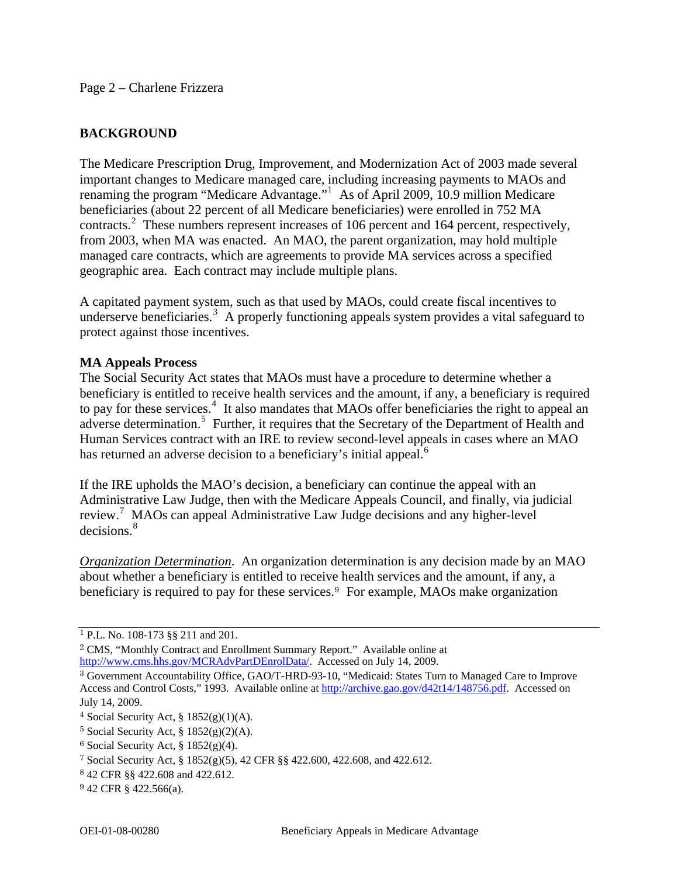## **BACKGROUND**

The Medicare Prescription Drug, Improvement, and Modernization Act of 2003 made several important changes to Medicare managed care, including increasing payments to MAOs and renaming the program "Medicare Advantage."[1](#page-1-0) As of April 2009, 10.9 million Medicare beneficiaries (about 22 percent of all Medicare beneficiaries) were enrolled in 752 MA contracts.<sup>[2](#page-1-1)</sup> These numbers represent increases of 106 percent and 164 percent, respectively, from 2003, when MA was enacted. An MAO, the parent organization, may hold multiple managed care contracts, which are agreements to provide MA services across a specified geographic area. Each contract may include multiple plans.

A capitated payment system, such as that used by MAOs, could create fiscal incentives to underserve beneficiaries.<sup>[3](#page-1-2)</sup> A properly functioning appeals system provides a vital safeguard to protect against those incentives.

## **MA Appeals Process**

The Social Security Act states that MAOs must have a procedure to determine whether a beneficiary is entitled to receive health services and the amount, if any, a beneficiary is required to pay for these services.<sup>[4](#page-1-3)</sup> It also mandates that MAOs offer beneficiaries the right to appeal an adverse determination.<sup>[5](#page-1-4)</sup> Further, it requires that the Secretary of the Department of Health and Human Services contract with an IRE to review second-level appeals in cases where an MAO has returned an adverse decision to a beneficiary's initial appeal.<sup>[6](#page-1-5)</sup>

If the IRE upholds the MAO's decision, a beneficiary can continue the appeal with an Administrative Law Judge, then with the Medicare Appeals Council, and finally, via judicial review.<sup>[7](#page-1-6)</sup> MAOs can appeal Administrative Law Judge decisions and any higher-level decisions.<sup>8</sup>

*Organization Determination*. An organization determination is any decision made by an MAO about whether a beneficiary is entitled to receive health services and the amount, if any, a beneficiary is required to pay for these services.9 For example, MAOs make organization

<span id="page-1-0"></span><sup>1</sup> P.L. No. 108-173 §§ 211 and 201.

<span id="page-1-1"></span><sup>2</sup> CMS, "Monthly Contract and Enrollment Summary Report." Available online at <http://www.cms.hhs.gov/MCRAdvPartDEnrolData/>. Accessed on July 14, 2009.

<span id="page-1-2"></span><sup>3</sup> Government Accountability Office, GAO/T-HRD-93-10, "Medicaid: States Turn to Managed Care to Improve Access and Control Costs," 1993. Available online at [http://archive.gao.gov/d42t14/148756.pdf.](http://archive.gao.gov/d42t14/148756.pdf) Accessed on July 14, 2009.

<span id="page-1-3"></span><sup>&</sup>lt;sup>4</sup> Social Security Act, §  $1852(g)(1)(A)$ .

<span id="page-1-4"></span> $5$  Social Security Act,  $\S 1852(g)(2)(A)$ .

<span id="page-1-5"></span> $6$  Social Security Act,  $§$  1852(g)(4).

<span id="page-1-6"></span><sup>7</sup> Social Security Act, § 1852(g)(5), 42 CFR §§ 422.600, 422.608, and 422.612.

<sup>8</sup> 42 CFR §§ 422.608 and 422.612.

<sup>9</sup> 42 CFR § 422.566(a).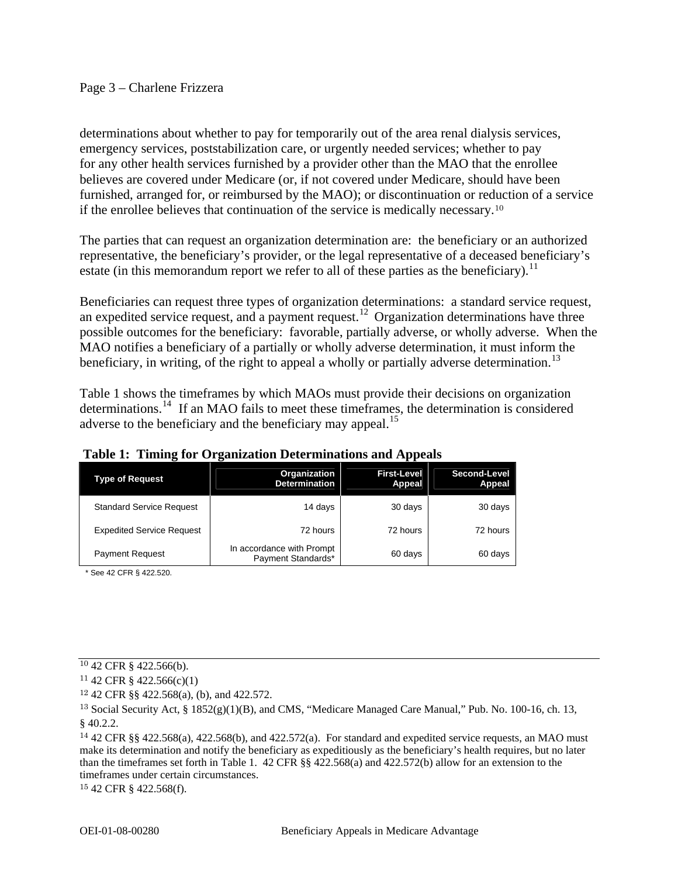## Page 3 – Charlene Frizzera

determinations about whether to pay for temporarily out of the area renal dialysis services, emergency services, poststabilization care, or urgently needed services; whether to pay for any other health services furnished by a provider other than the MAO that the enrollee believes are covered under Medicare (or, if not covered under Medicare, should have been furnished, arranged for, or reimbursed by the MAO); or discontinuation or reduction of a service if the enrollee believes that continuation of the service is medically necessary.[10](#page-2-0)

The parties that can request an organization determination are: the beneficiary or an authorized representative, the beneficiary's provider, or the legal representative of a deceased beneficiary's estate (in this memorandum report we refer to all of these parties as the beneficiary).<sup>[11](#page-2-1)</sup>

Beneficiaries can request three types of organization determinations: a standard service request, an expedited service request, and a payment request.<sup>[12](#page-2-2)</sup> Organization determinations have three possible outcomes for the beneficiary: favorable, partially adverse, or wholly adverse. When the MAO notifies a beneficiary of a partially or wholly adverse determination, it must inform the beneficiary, in writing, of the right to appeal a wholly or partially adverse determination.<sup>[13](#page-2-3)</sup>

Table 1 shows the timeframes by which MAOs must provide their decisions on organization determinations.[14](#page-2-4) If an MAO fails to meet these timeframes, the determination is considered adverse to the beneficiary and the beneficiary may appeal.<sup>[15](#page-2-5)</sup>

| ຼ<br><b>Type of Request</b>      | ຼ<br>Organization<br><b>Determination</b>       | . .<br><b>First-Level</b><br>Appeal | Second-Level<br>Appeal |
|----------------------------------|-------------------------------------------------|-------------------------------------|------------------------|
| <b>Standard Service Request</b>  | 14 days                                         | 30 days                             | 30 days                |
| <b>Expedited Service Request</b> | 72 hours                                        | 72 hours                            | 72 hours               |
| <b>Payment Request</b>           | In accordance with Prompt<br>Payment Standards* | 60 days                             | 60 days                |

 **Table 1: Timing for Organization Determinations and Appeals**

\* See 42 CFR § 422.520.

<span id="page-2-5"></span>15 42 CFR § 422.568(f).

<span id="page-2-0"></span><sup>10</sup> 42 CFR § 422.566(b).

<span id="page-2-1"></span> $11$  42 CFR § 422.566(c)(1)

<span id="page-2-2"></span><sup>12</sup> 42 CFR §§ 422.568(a), (b), and 422.572.

<span id="page-2-3"></span><sup>&</sup>lt;sup>13</sup> Social Security Act, §  $1852(g)(1)(B)$ , and CMS, "Medicare Managed Care Manual," Pub. No. 100-16, ch. 13, § 40.2.2.

<span id="page-2-4"></span><sup>14</sup> 42 CFR §§ 422.568(a), 422.568(b), and 422.572(a). For standard and expedited service requests, an MAO must make its determination and notify the beneficiary as expeditiously as the beneficiary's health requires, but no later than the timeframes set forth in Table 1. 42 CFR §§ 422.568(a) and 422.572(b) allow for an extension to the timeframes under certain circumstances.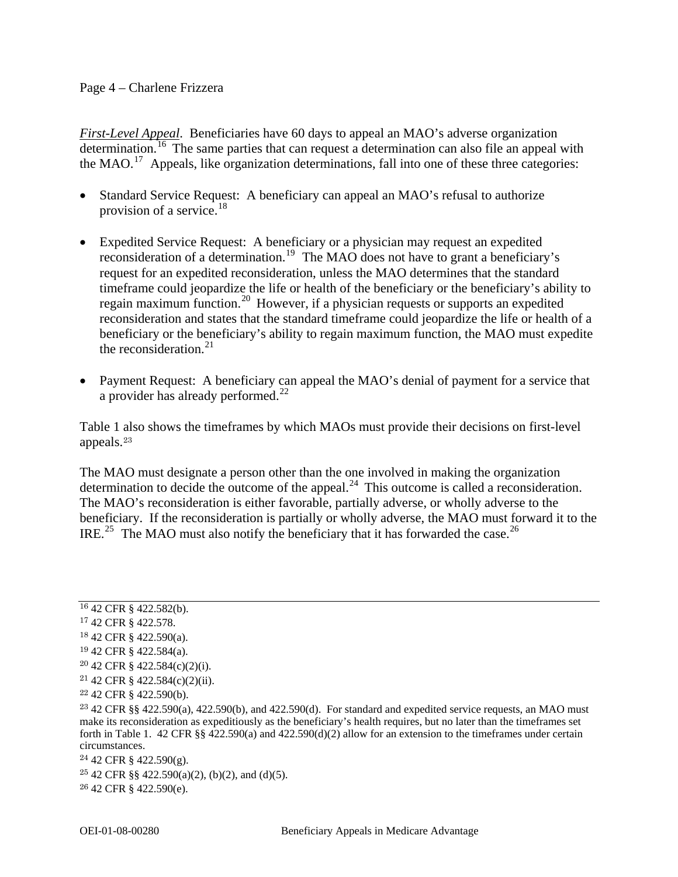#### Page 4 – Charlene Frizzera

*First-Level Appeal*. Beneficiaries have 60 days to appeal an MAO's adverse organization  $\overline{\text{determination}}$ .<sup>[16](#page-3-0)</sup> The same parties that can request a determination can also file an appeal with the MAO.<sup>[17](#page-3-1)</sup> Appeals, like organization determinations, fall into one of these three categories:

- Standard Service Request: A beneficiary can appeal an MAO's refusal to authorize provision of a service. $^{18}$  $^{18}$  $^{18}$
- Expedited Service Request: A beneficiary or a physician may request an expedited reconsideration of a determination.[19](#page-3-3) The MAO does not have to grant a beneficiary's request for an expedited reconsideration, unless the MAO determines that the standard timeframe could jeopardize the life or health of the beneficiary or the beneficiary's ability to regain maximum function.[20](#page-3-4) However, if a physician requests or supports an expedited reconsideration and states that the standard timeframe could jeopardize the life or health of a beneficiary or the beneficiary's ability to regain maximum function, the MAO must expedite the reconsideration. $21$
- Payment Request: A beneficiary can appeal the MAO's denial of payment for a service that a provider has already performed. $^{22}$  $^{22}$  $^{22}$

Table 1 also shows the timeframes by which MAOs must provide their decisions on first-level appeals.[23](#page-3-7)

The MAO must designate a person other than the one involved in making the organization determination to decide the outcome of the appeal.<sup>[24](#page-3-8)</sup> This outcome is called a reconsideration. The MAO's reconsideration is either favorable, partially adverse, or wholly adverse to the beneficiary. If the reconsideration is partially or wholly adverse, the MAO must forward it to the IRE.<sup>[25](#page-3-9)</sup> The MAO must also notify the beneficiary that it has forwarded the case.<sup>[26](#page-3-10)</sup>

<span id="page-3-9"></span> $25\,42$  CFR §§  $422.590(a)(2)$ , (b)(2), and (d)(5).

<span id="page-3-10"></span>26 42 CFR § 422.590(e).

<span id="page-3-0"></span><sup>16</sup> 42 CFR § 422.582(b).

<span id="page-3-1"></span><sup>17</sup> 42 CFR § 422.578.

<span id="page-3-2"></span><sup>18</sup> 42 CFR § 422.590(a).

<span id="page-3-3"></span><sup>19</sup> 42 CFR § 422.584(a).

<span id="page-3-4"></span><sup>20</sup> 42 CFR § 422.584(c)(2)(i).

<span id="page-3-5"></span> $21$  42 CFR § 422.584(c)(2)(ii).

<span id="page-3-6"></span><sup>22</sup> 42 CFR § 422.590(b).

<span id="page-3-7"></span><sup>23</sup> 42 CFR §§ 422.590(a), 422.590(b), and 422.590(d). For standard and expedited service requests, an MAO must make its reconsideration as expeditiously as the beneficiary's health requires, but no later than the timeframes set forth in Table 1. 42 CFR §§ 422.590(a) and 422.590(d)(2) allow for an extension to the timeframes under certain circumstances.

<span id="page-3-8"></span><sup>24</sup> 42 CFR § 422.590(g).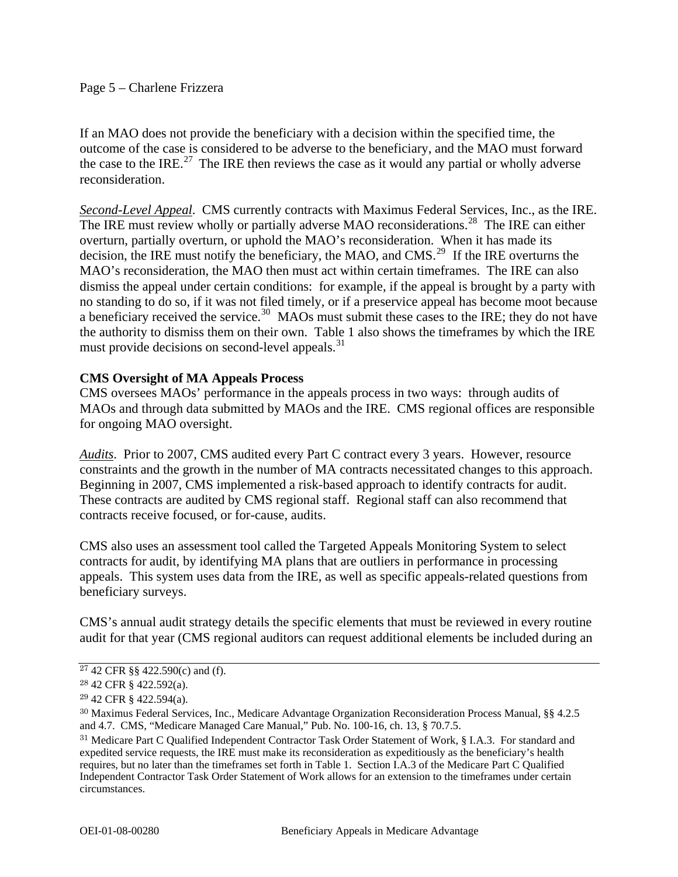## Page 5 – Charlene Frizzera

If an MAO does not provide the beneficiary with a decision within the specified time, the outcome of the case is considered to be adverse to the beneficiary, and the MAO must forward the case to the IRE.<sup>[27](#page-4-0)</sup> The IRE then reviews the case as it would any partial or wholly adverse reconsideration.

*Second-Level Appeal*. CMS currently contracts with Maximus Federal Services, Inc., as the IRE. The IRE must review wholly or partially adverse MAO reconsiderations.<sup>[28](#page-4-1)</sup> The IRE can either overturn, partially overturn, or uphold the MAO's reconsideration. When it has made its decision, the IRE must notify the beneficiary, the MAO, and CMS.<sup>[29](#page-4-2)</sup> If the IRE overturns the MAO's reconsideration, the MAO then must act within certain timeframes. The IRE can also dismiss the appeal under certain conditions: for example, if the appeal is brought by a party with no standing to do so, if it was not filed timely, or if a preservice appeal has become moot because a beneficiary received the service.<sup>[30](#page-4-3)</sup> MAOs must submit these cases to the IRE; they do not have the authority to dismiss them on their own. Table 1 also shows the timeframes by which the IRE must provide decisions on second-level appeals.<sup>[31](#page-4-4)</sup>

## **CMS Oversight of MA Appeals Process**

CMS oversees MAOs' performance in the appeals process in two ways: through audits of MAOs and through data submitted by MAOs and the IRE. CMS regional offices are responsible for ongoing MAO oversight.

*Audits*. Prior to 2007, CMS audited every Part C contract every 3 years. However, resource constraints and the growth in the number of MA contracts necessitated changes to this approach. Beginning in 2007, CMS implemented a risk-based approach to identify contracts for audit. These contracts are audited by CMS regional staff. Regional staff can also recommend that contracts receive focused, or for-cause, audits.

CMS also uses an assessment tool called the Targeted Appeals Monitoring System to select contracts for audit, by identifying MA plans that are outliers in performance in processing appeals. This system uses data from the IRE, as well as specific appeals-related questions from beneficiary surveys.

CMS's annual audit strategy details the specific elements that must be reviewed in every routine audit for that year (CMS regional auditors can request additional elements be included during an

<span id="page-4-0"></span><sup>27</sup> 42 CFR §§ 422.590(c) and (f).

<span id="page-4-1"></span><sup>28</sup> 42 CFR § 422.592(a).

<span id="page-4-2"></span><sup>29</sup> 42 CFR § 422.594(a).

<span id="page-4-3"></span><sup>30</sup> Maximus Federal Services, Inc., Medicare Advantage Organization Reconsideration Process Manual, §§ 4.2.5 and 4.7. CMS, "Medicare Managed Care Manual," Pub. No. 100-16, ch. 13, § 70.7.5.

<span id="page-4-4"></span><sup>31</sup> Medicare Part C Qualified Independent Contractor Task Order Statement of Work, § I.A.3. For standard and expedited service requests, the IRE must make its reconsideration as expeditiously as the beneficiary's health requires, but no later than the timeframes set forth in Table 1. Section I.A.3 of the Medicare Part C Qualified Independent Contractor Task Order Statement of Work allows for an extension to the timeframes under certain circumstances.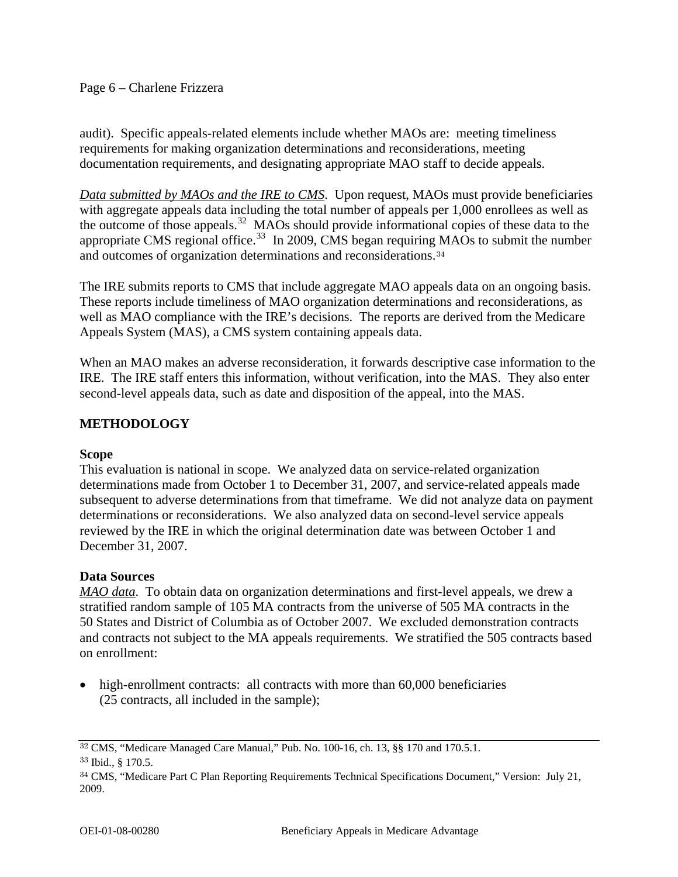## Page 6 – Charlene Frizzera

audit). Specific appeals-related elements include whether MAOs are: meeting timeliness requirements for making organization determinations and reconsiderations, meeting documentation requirements, and designating appropriate MAO staff to decide appeals.

*Data submitted by MAOs and the IRE to CMS*. Upon request, MAOs must provide beneficiaries with aggregate appeals data including the total number of appeals per 1,000 enrollees as well as the outcome of those appeals.<sup>[32](#page-5-0)</sup> MAOs should provide informational copies of these data to the appropriate CMS regional office.<sup>[33](#page-5-1)</sup> In 2009, CMS began requiring MAOs to submit the number and outcomes of organization determinations and reconsiderations.<sup>[34](#page-5-2)</sup>

The IRE submits reports to CMS that include aggregate MAO appeals data on an ongoing basis. These reports include timeliness of MAO organization determinations and reconsiderations, as well as MAO compliance with the IRE's decisions. The reports are derived from the Medicare Appeals System (MAS), a CMS system containing appeals data.

When an MAO makes an adverse reconsideration, it forwards descriptive case information to the IRE. The IRE staff enters this information, without verification, into the MAS. They also enter second-level appeals data, such as date and disposition of the appeal, into the MAS.

## **METHODOLOGY**

## **Scope**

This evaluation is national in scope. We analyzed data on service-related organization determinations made from October 1 to December 31, 2007, and service-related appeals made subsequent to adverse determinations from that timeframe. We did not analyze data on payment determinations or reconsiderations. We also analyzed data on second-level service appeals reviewed by the IRE in which the original determination date was between October 1 and December 31, 2007.

## **Data Sources**

*MAO data*. To obtain data on organization determinations and first-level appeals, we drew a stratified random sample of 105 MA contracts from the universe of 505 MA contracts in the 50 States and District of Columbia as of October 2007. We excluded demonstration contracts and contracts not subject to the MA appeals requirements. We stratified the 505 contracts based on enrollment:

• high-enrollment contracts: all contracts with more than 60,000 beneficiaries (25 contracts, all included in the sample);

<span id="page-5-0"></span><sup>32</sup> CMS, "Medicare Managed Care Manual," Pub. No. 100-16, ch. 13, §§ 170 and 170.5.1.

<span id="page-5-1"></span><sup>33</sup> Ibid., § 170.5.

<span id="page-5-2"></span><sup>34</sup> CMS, "Medicare Part C Plan Reporting Requirements Technical Specifications Document," Version: July 21, 2009.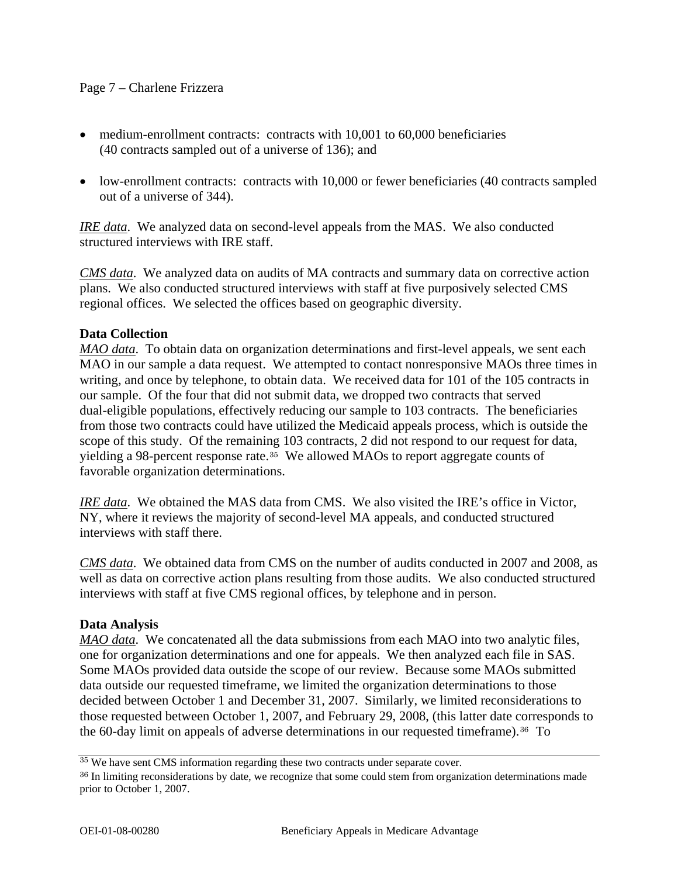## Page 7 – Charlene Frizzera

- medium-enrollment contracts: contracts with 10,001 to 60,000 beneficiaries (40 contracts sampled out of a universe of 136); and
- low-enrollment contracts: contracts with 10,000 or fewer beneficiaries (40 contracts sampled out of a universe of 344).

*IRE data*. We analyzed data on second-level appeals from the MAS. We also conducted structured interviews with IRE staff.

*CMS data*. We analyzed data on audits of MA contracts and summary data on corrective action plans. We also conducted structured interviews with staff at five purposively selected CMS regional offices. We selected the offices based on geographic diversity.

## **Data Collection**

*MAO data*. To obtain data on organization determinations and first-level appeals, we sent each MAO in our sample a data request. We attempted to contact nonresponsive MAOs three times in writing, and once by telephone, to obtain data. We received data for 101 of the 105 contracts in our sample. Of the four that did not submit data, we dropped two contracts that served dual-eligible populations, effectively reducing our sample to 103 contracts. The beneficiaries from those two contracts could have utilized the Medicaid appeals process, which is outside the scope of this study. Of the remaining 103 contracts, 2 did not respond to our request for data, yielding a 98-percent response rate.[35](#page-6-0) We allowed MAOs to report aggregate counts of favorable organization determinations.

*IRE data*. We obtained the MAS data from CMS. We also visited the IRE's office in Victor, NY, where it reviews the majority of second-level MA appeals, and conducted structured interviews with staff there.

*CMS data*. We obtained data from CMS on the number of audits conducted in 2007 and 2008, as well as data on corrective action plans resulting from those audits. We also conducted structured interviews with staff at five CMS regional offices, by telephone and in person.

## **Data Analysis**

*MAO data*. We concatenated all the data submissions from each MAO into two analytic files, one for organization determinations and one for appeals. We then analyzed each file in SAS. Some MAOs provided data outside the scope of our review. Because some MAOs submitted data outside our requested timeframe, we limited the organization determinations to those decided between October 1 and December 31, 2007. Similarly, we limited reconsiderations to those requested between October 1, 2007, and February 29, 2008, (this latter date corresponds to the 60-day limit on appeals of adverse determinations in our requested timeframe).<sup>[36](#page-6-1)</sup> To

<span id="page-6-0"></span><sup>35</sup> We have sent CMS information regarding these two contracts under separate cover.

<span id="page-6-1"></span><sup>&</sup>lt;sup>36</sup> In limiting reconsiderations by date, we recognize that some could stem from organization determinations made prior to October 1, 2007.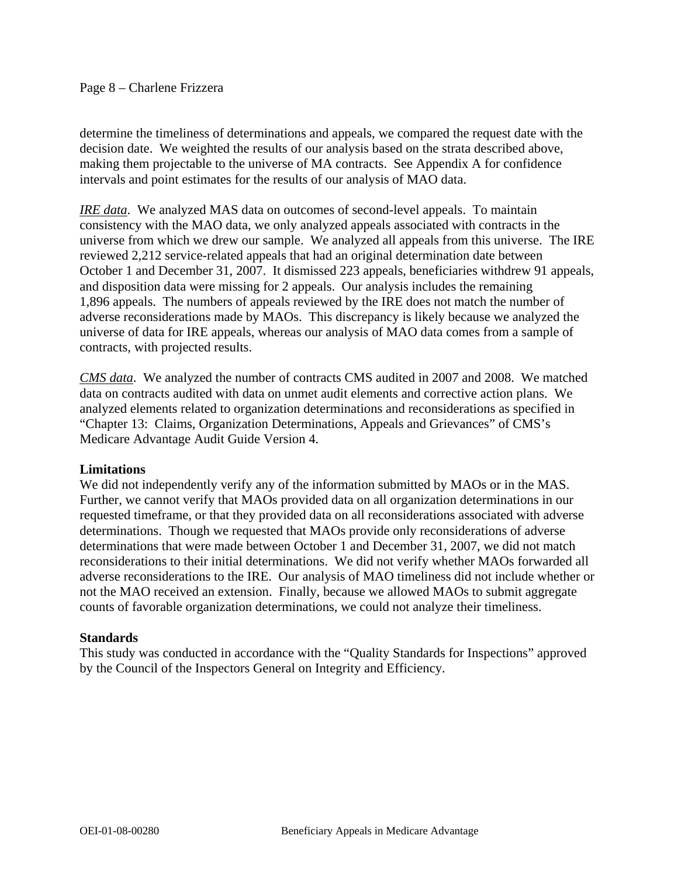#### Page 8 – Charlene Frizzera

determine the timeliness of determinations and appeals, we compared the request date with the decision date. We weighted the results of our analysis based on the strata described above, making them projectable to the universe of MA contracts. See Appendix A for confidence intervals and point estimates for the results of our analysis of MAO data.

*IRE data*. We analyzed MAS data on outcomes of second-level appeals. To maintain consistency with the MAO data, we only analyzed appeals associated with contracts in the universe from which we drew our sample. We analyzed all appeals from this universe. The IRE reviewed 2,212 service-related appeals that had an original determination date between October 1 and December 31, 2007. It dismissed 223 appeals, beneficiaries withdrew 91 appeals, and disposition data were missing for 2 appeals. Our analysis includes the remaining 1,896 appeals. The numbers of appeals reviewed by the IRE does not match the number of adverse reconsiderations made by MAOs. This discrepancy is likely because we analyzed the universe of data for IRE appeals, whereas our analysis of MAO data comes from a sample of contracts, with projected results.

*CMS data*. We analyzed the number of contracts CMS audited in 2007 and 2008. We matched data on contracts audited with data on unmet audit elements and corrective action plans. We analyzed elements related to organization determinations and reconsiderations as specified in "Chapter 13: Claims, Organization Determinations, Appeals and Grievances" of CMS's Medicare Advantage Audit Guide Version 4.

#### **Limitations**

We did not independently verify any of the information submitted by MAOs or in the MAS. Further, we cannot verify that MAOs provided data on all organization determinations in our requested timeframe, or that they provided data on all reconsiderations associated with adverse determinations. Though we requested that MAOs provide only reconsiderations of adverse determinations that were made between October 1 and December 31, 2007, we did not match reconsiderations to their initial determinations. We did not verify whether MAOs forwarded all adverse reconsiderations to the IRE. Our analysis of MAO timeliness did not include whether or not the MAO received an extension. Finally, because we allowed MAOs to submit aggregate counts of favorable organization determinations, we could not analyze their timeliness.

#### **Standards**

This study was conducted in accordance with the "Quality Standards for Inspections" approved by the Council of the Inspectors General on Integrity and Efficiency.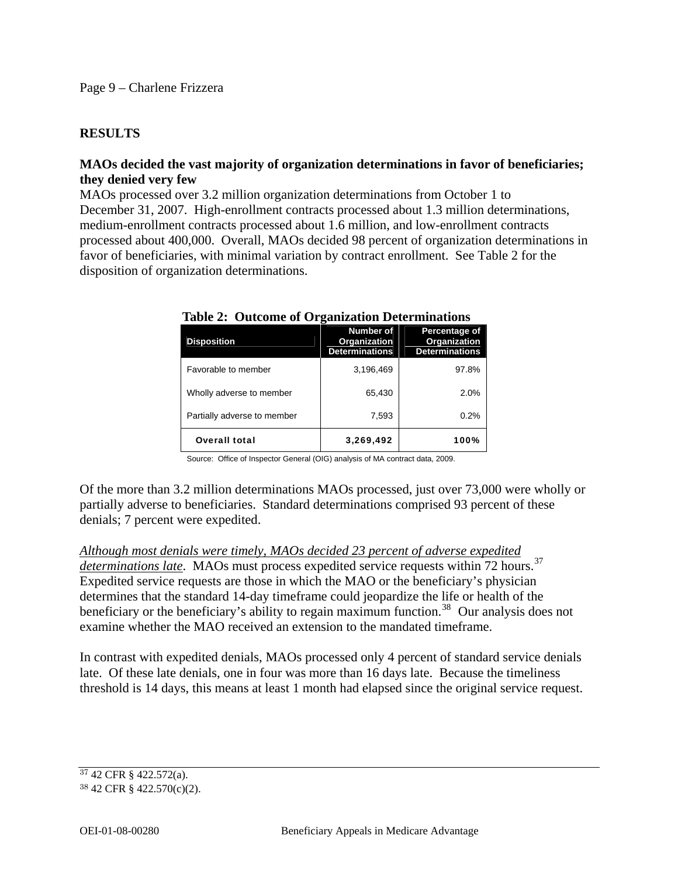## **RESULTS**

## **MAOs decided the vast majority of organization determinations in favor of beneficiaries; they denied very few**

MAOs processed over 3.2 million organization determinations from October 1 to December 31, 2007. High-enrollment contracts processed about 1.3 million determinations, medium-enrollment contracts processed about 1.6 million, and low-enrollment contracts processed about 400,000. Overall, MAOs decided 98 percent of organization determinations in favor of beneficiaries, with minimal variation by contract enrollment. See Table 2 for the disposition of organization determinations.

| <b>Disposition</b>          | <b>Number of</b><br>Organization<br><b>Determinations</b> | Percentage of<br>Organization<br><b>Determinations</b> |
|-----------------------------|-----------------------------------------------------------|--------------------------------------------------------|
| Favorable to member         | 3,196,469                                                 | 97.8%                                                  |
| Wholly adverse to member    | 65,430                                                    | 2.0%                                                   |
| Partially adverse to member | 7,593                                                     | 0.2%                                                   |
| <b>Overall total</b>        | 3,269,492                                                 | 100%                                                   |

#### **Table 2: Outcome of Organization Determinations**

Source: Office of Inspector General (OIG) analysis of MA contract data, 2009.

Of the more than 3.2 million determinations MAOs processed, just over 73,000 were wholly or partially adverse to beneficiaries. Standard determinations comprised 93 percent of these denials; 7 percent were expedited.

*Although most denials were timely, MAOs decided 23 percent of adverse expedited determinations late.* MAOs must process expedited service requests within 72 hours.<sup>[37](#page-8-0)</sup> Expedited service requests are those in which the MAO or the beneficiary's physician determines that the standard 14-day timeframe could jeopardize the life or health of the beneficiary or the beneficiary's ability to regain maximum function.<sup>[38](#page-8-1)</sup> Our analysis does not examine whether the MAO received an extension to the mandated timeframe.

In contrast with expedited denials, MAOs processed only 4 percent of standard service denials late. Of these late denials, one in four was more than 16 days late. Because the timeliness threshold is 14 days, this means at least 1 month had elapsed since the original service request.

<span id="page-8-0"></span><sup>37</sup> 42 CFR § 422.572(a).

<span id="page-8-1"></span><sup>38</sup> 42 CFR § 422.570(c)(2).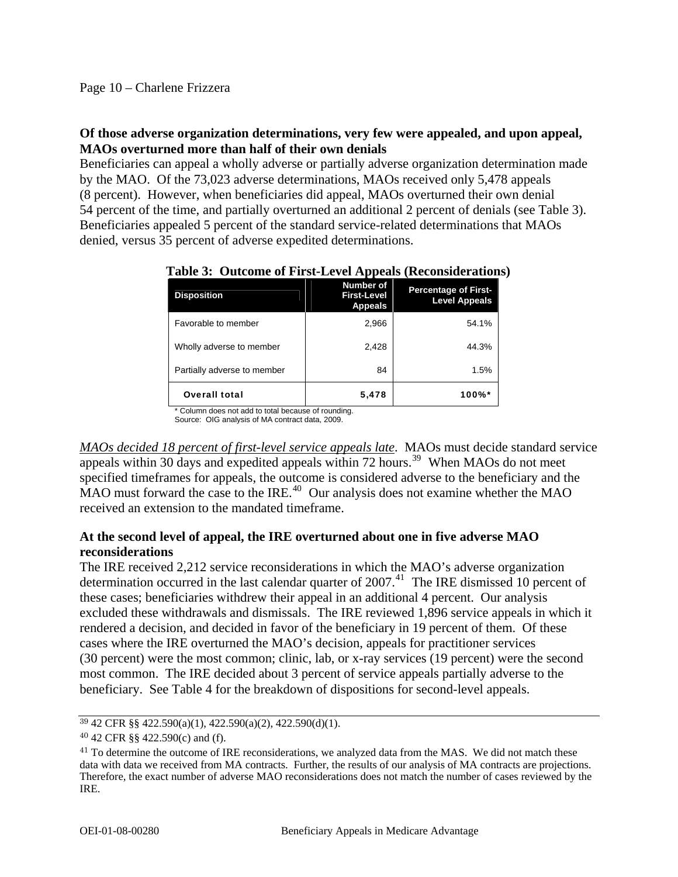## **Of those adverse organization determinations, very few were appealed, and upon appeal, MAOs overturned more than half of their own denials**

Beneficiaries can appeal a wholly adverse or partially adverse organization determination made by the MAO. Of the 73,023 adverse determinations, MAOs received only 5,478 appeals (8 percent). However, when beneficiaries did appeal, MAOs overturned their own denial 54 percent of the time, and partially overturned an additional 2 percent of denials (see Table 3). Beneficiaries appealed 5 percent of the standard service-related determinations that MAOs denied, versus 35 percent of adverse expedited determinations.

| <b>Disposition</b>          | Number of<br><b>First-Level</b><br><b>Appeals</b> | <b>Percentage of First-</b><br><b>Level Appeals</b> |
|-----------------------------|---------------------------------------------------|-----------------------------------------------------|
| Favorable to member         | 2,966                                             | 54.1%                                               |
| Wholly adverse to member    | 2,428                                             | 44.3%                                               |
| Partially adverse to member | 84                                                | 1.5%                                                |
| <b>Overall total</b>        | 5,478                                             | 100%*                                               |

 **Table 3: Outcome of First-Level Appeals (Reconsiderations)**

\* Column does not add to total because of rounding. Source: OIG analysis of MA contract data, 2009.

*MAOs decided 18 percent of first-level service appeals late*. MAOs must decide standard service appeals within 30 days and expedited appeals within  $72$  hours.<sup>[39](#page-9-0)</sup> When MAOs do not meet

specified timeframes for appeals, the outcome is considered adverse to the beneficiary and the MAO must forward the case to the IRE.<sup>[40](#page-9-1)</sup> Our analysis does not examine whether the MAO received an extension to the mandated timeframe.

## **At the second level of appeal, the IRE overturned about one in five adverse MAO reconsiderations**

The IRE received 2,212 service reconsiderations in which the MAO's adverse organization determination occurred in the last calendar quarter of  $2007<sup>41</sup>$  $2007<sup>41</sup>$  $2007<sup>41</sup>$ . The IRE dismissed 10 percent of these cases; beneficiaries withdrew their appeal in an additional 4 percent. Our analysis excluded these withdrawals and dismissals. The IRE reviewed 1,896 service appeals in which it rendered a decision, and decided in favor of the beneficiary in 19 percent of them. Of these cases where the IRE overturned the MAO's decision, appeals for practitioner services (30 percent) were the most common; clinic, lab, or x-ray services (19 percent) were the second most common. The IRE decided about 3 percent of service appeals partially adverse to the beneficiary. See Table 4 for the breakdown of dispositions for second-level appeals.

<span id="page-9-0"></span><sup>39</sup> 42 CFR §§ 422.590(a)(1), 422.590(a)(2), 422.590(d)(1).

<span id="page-9-1"></span><sup>40</sup> 42 CFR §§ 422.590(c) and (f).

<span id="page-9-2"></span><sup>&</sup>lt;sup>41</sup> To determine the outcome of IRE reconsiderations, we analyzed data from the MAS. We did not match these data with data we received from MA contracts. Further, the results of our analysis of MA contracts are projections. Therefore, the exact number of adverse MAO reconsiderations does not match the number of cases reviewed by the IRE.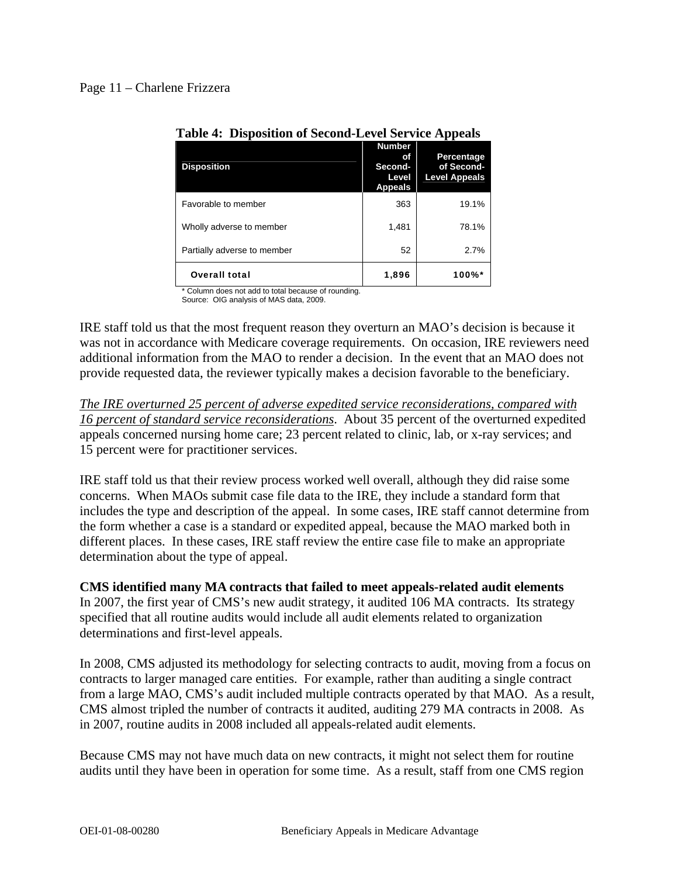| <b>Disposition</b>          | <b>Number</b><br>Οf<br>Second-<br>Level<br><b>Appeals</b> | Percentage<br>of Second-<br><b>Level Appeals</b> |
|-----------------------------|-----------------------------------------------------------|--------------------------------------------------|
| Favorable to member         | 363                                                       | 19.1%                                            |
| Wholly adverse to member    | 1,481                                                     | 78.1%                                            |
| Partially adverse to member | 52                                                        | 2.7%                                             |
| <b>Overall total</b>        | 1,896                                                     | 100%*                                            |

## **Table 4: Disposition of Second-Level Service Appeals**

\* Column does not add to total because of rounding.

Source: OIG analysis of MAS data, 2009.

IRE staff told us that the most frequent reason they overturn an MAO's decision is because it was not in accordance with Medicare coverage requirements. On occasion, IRE reviewers need additional information from the MAO to render a decision. In the event that an MAO does not provide requested data, the reviewer typically makes a decision favorable to the beneficiary.

*The IRE overturned 25 percent of adverse expedited service reconsiderations, compared with 16 percent of standard service reconsiderations*. About 35 percent of the overturned expedited appeals concerned nursing home care; 23 percent related to clinic, lab, or x-ray services; and 15 percent were for practitioner services.

IRE staff told us that their review process worked well overall, although they did raise some concerns. When MAOs submit case file data to the IRE, they include a standard form that includes the type and description of the appeal. In some cases, IRE staff cannot determine from the form whether a case is a standard or expedited appeal, because the MAO marked both in different places. In these cases, IRE staff review the entire case file to make an appropriate determination about the type of appeal.

**CMS identified many MA contracts that failed to meet appeals-related audit elements** 

In 2007, the first year of CMS's new audit strategy, it audited 106 MA contracts. Its strategy specified that all routine audits would include all audit elements related to organization determinations and first-level appeals.

In 2008, CMS adjusted its methodology for selecting contracts to audit, moving from a focus on contracts to larger managed care entities. For example, rather than auditing a single contract from a large MAO, CMS's audit included multiple contracts operated by that MAO. As a result, CMS almost tripled the number of contracts it audited, auditing 279 MA contracts in 2008. As in 2007, routine audits in 2008 included all appeals-related audit elements.

Because CMS may not have much data on new contracts, it might not select them for routine audits until they have been in operation for some time. As a result, staff from one CMS region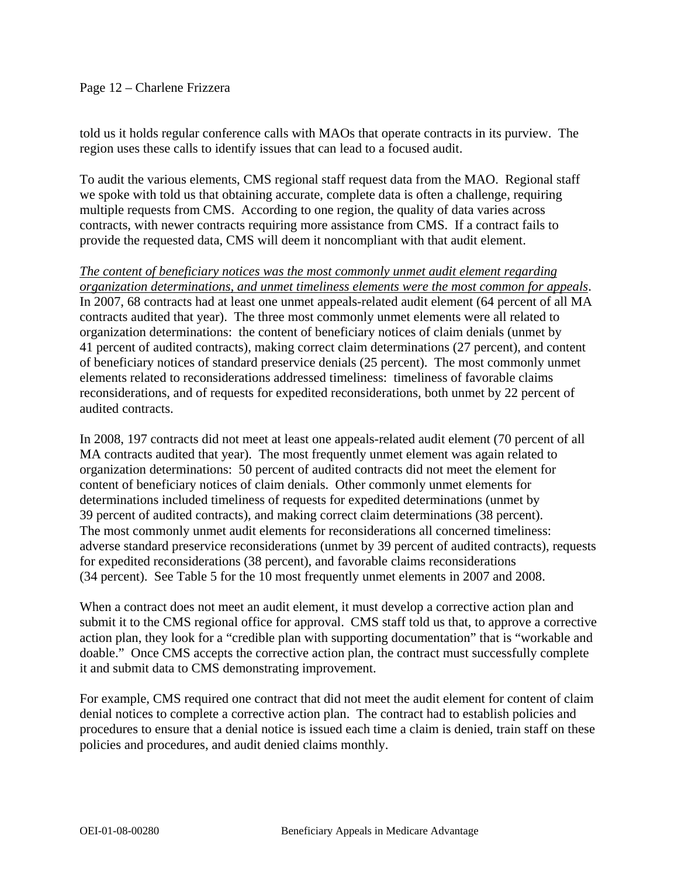## Page 12 – Charlene Frizzera

told us it holds regular conference calls with MAOs that operate contracts in its purview. The region uses these calls to identify issues that can lead to a focused audit.

To audit the various elements, CMS regional staff request data from the MAO. Regional staff we spoke with told us that obtaining accurate, complete data is often a challenge, requiring multiple requests from CMS. According to one region, the quality of data varies across contracts, with newer contracts requiring more assistance from CMS. If a contract fails to provide the requested data, CMS will deem it noncompliant with that audit element.

*The content of beneficiary notices was the most commonly unmet audit element regarding organization determinations, and unmet timeliness elements were the most common for appeals*. In 2007, 68 contracts had at least one unmet appeals-related audit element (64 percent of all MA contracts audited that year). The three most commonly unmet elements were all related to organization determinations: the content of beneficiary notices of claim denials (unmet by 41 percent of audited contracts), making correct claim determinations (27 percent), and content of beneficiary notices of standard preservice denials (25 percent). The most commonly unmet elements related to reconsiderations addressed timeliness: timeliness of favorable claims reconsiderations, and of requests for expedited reconsiderations, both unmet by 22 percent of audited contracts.

In 2008, 197 contracts did not meet at least one appeals-related audit element (70 percent of all MA contracts audited that year). The most frequently unmet element was again related to organization determinations: 50 percent of audited contracts did not meet the element for content of beneficiary notices of claim denials. Other commonly unmet elements for determinations included timeliness of requests for expedited determinations (unmet by 39 percent of audited contracts), and making correct claim determinations (38 percent). The most commonly unmet audit elements for reconsiderations all concerned timeliness: adverse standard preservice reconsiderations (unmet by 39 percent of audited contracts), requests for expedited reconsiderations (38 percent), and favorable claims reconsiderations (34 percent). See Table 5 for the 10 most frequently unmet elements in 2007 and 2008.

When a contract does not meet an audit element, it must develop a corrective action plan and submit it to the CMS regional office for approval. CMS staff told us that, to approve a corrective action plan, they look for a "credible plan with supporting documentation" that is "workable and doable." Once CMS accepts the corrective action plan, the contract must successfully complete it and submit data to CMS demonstrating improvement.

For example, CMS required one contract that did not meet the audit element for content of claim denial notices to complete a corrective action plan. The contract had to establish policies and procedures to ensure that a denial notice is issued each time a claim is denied, train staff on these policies and procedures, and audit denied claims monthly.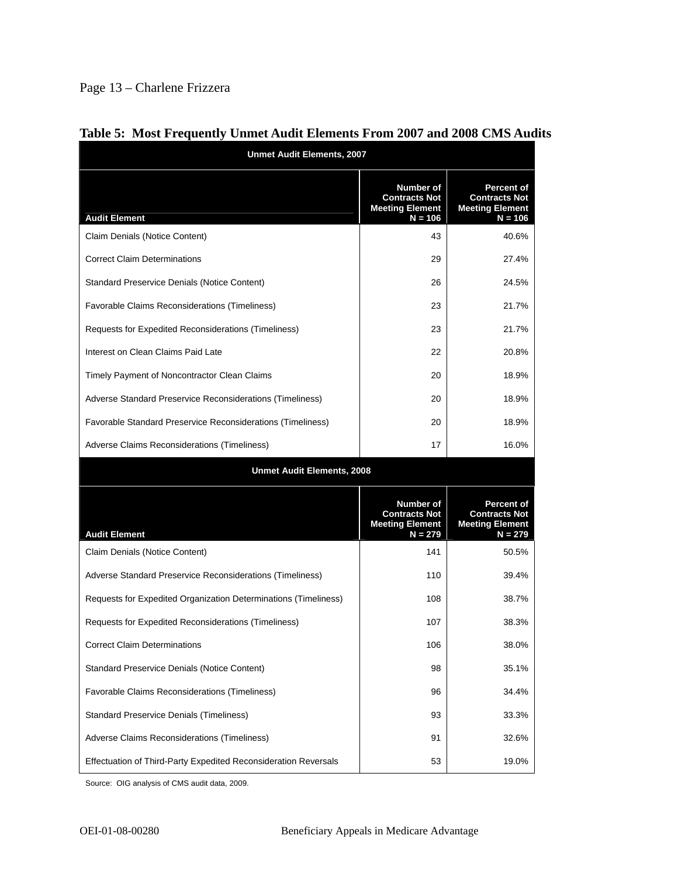# Page 13 – Charlene Frizzera

| <b>Unmet Audit Elements, 2007</b>                               |                                                                                 |                                                                                  |  |
|-----------------------------------------------------------------|---------------------------------------------------------------------------------|----------------------------------------------------------------------------------|--|
| <b>Audit Element</b>                                            | Number of<br><b>Contracts Not</b><br><b>Meeting Element</b><br>$N = 106$        | <b>Percent of</b><br><b>Contracts Not</b><br><b>Meeting Element</b><br>$N = 106$ |  |
| Claim Denials (Notice Content)                                  | 43                                                                              | 40.6%                                                                            |  |
| <b>Correct Claim Determinations</b>                             | 29                                                                              | 27.4%                                                                            |  |
| <b>Standard Preservice Denials (Notice Content)</b>             | 26                                                                              | 24.5%                                                                            |  |
| Favorable Claims Reconsiderations (Timeliness)                  | 23                                                                              | 21.7%                                                                            |  |
| Requests for Expedited Reconsiderations (Timeliness)            | 23                                                                              | 21.7%                                                                            |  |
| Interest on Clean Claims Paid Late                              | 22                                                                              | 20.8%                                                                            |  |
| Timely Payment of Noncontractor Clean Claims                    | 20                                                                              | 18.9%                                                                            |  |
| Adverse Standard Preservice Reconsiderations (Timeliness)       | 20                                                                              | 18.9%                                                                            |  |
| Favorable Standard Preservice Reconsiderations (Timeliness)     | 20                                                                              | 18.9%                                                                            |  |
| Adverse Claims Reconsiderations (Timeliness)                    | 17                                                                              | 16.0%                                                                            |  |
| <b>Unmet Audit Elements, 2008</b>                               |                                                                                 |                                                                                  |  |
| <b>Audit Element</b>                                            | <b>Number of</b><br><b>Contracts Not</b><br><b>Meeting Element</b><br>$N = 279$ | <b>Percent of</b><br><b>Contracts Not</b><br><b>Meeting Element</b><br>$N = 279$ |  |
| Claim Denials (Notice Content)                                  | 141                                                                             | 50.5%                                                                            |  |
| Adverse Standard Preservice Reconsiderations (Timeliness)       | 110                                                                             | 39.4%                                                                            |  |
| Requests for Expedited Organization Determinations (Timeliness) | 108                                                                             | 38.7%                                                                            |  |
| Requests for Expedited Reconsiderations (Timeliness)            | 107                                                                             | 38.3%                                                                            |  |
| <b>Correct Claim Determinations</b>                             | 106                                                                             | 38.0%                                                                            |  |
| <b>Standard Preservice Denials (Notice Content)</b>             | 98                                                                              | 35.1%                                                                            |  |
| Favorable Claims Reconsiderations (Timeliness)                  | 96                                                                              | 34.4%                                                                            |  |
| <b>Standard Preservice Denials (Timeliness)</b>                 | 93                                                                              | 33.3%                                                                            |  |
| Adverse Claims Reconsiderations (Timeliness)                    | 91                                                                              | 32.6%                                                                            |  |
| Effectuation of Third-Party Expedited Reconsideration Reversals | 53                                                                              | 19.0%                                                                            |  |

## **Table 5: Most Frequently Unmet Audit Elements From 2007 and 2008 CMS Audits**

Source: OIG analysis of CMS audit data, 2009.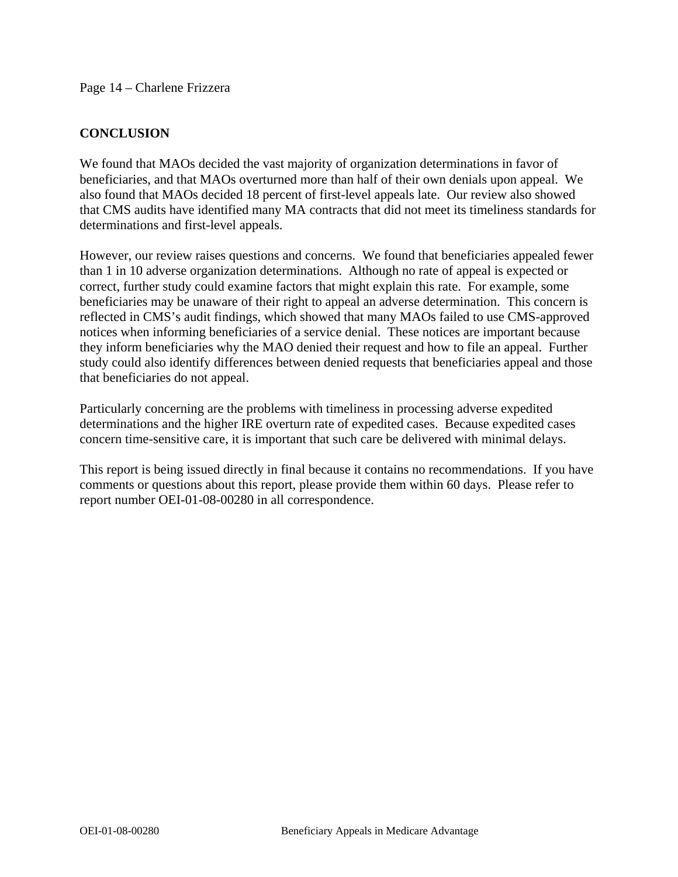Page 14 – Charlene Frizzera

## **CONCLUSION**

We found that MAOs decided the vast majority of organization determinations in favor of beneficiaries, and that MAOs overturned more than half of their own denials upon appeal. We also found that MAOs decided 18 percent of first-level appeals late. Our review also showed that CMS audits have identified many MA contracts that did not meet its timeliness standards for determinations and first-level appeals.

However, our review raises questions and concerns. We found that beneficiaries appealed fewer than 1 in 10 adverse organization determinations. Although no rate of appeal is expected or correct, further study could examine factors that might explain this rate. For example, some beneficiaries may be unaware of their right to appeal an adverse determination. This concern is reflected in CMS's audit findings, which showed that many MAOs failed to use CMS-approved notices when informing beneficiaries of a service denial. These notices are important because they inform beneficiaries why the MAO denied their request and how to file an appeal. Further study could also identify differences between denied requests that beneficiaries appeal and those that beneficiaries do not appeal.

Particularly concerning are the problems with timeliness in processing adverse expedited determinations and the higher IRE overturn rate of expedited cases. Because expedited cases concern time-sensitive care, it is important that such care be delivered with minimal delays.

This report is being issued directly in final because it contains no recommendations. If you have comments or questions about this report, please provide them within 60 days. Please refer to report number OEI-01-08-00280 in all correspondence.